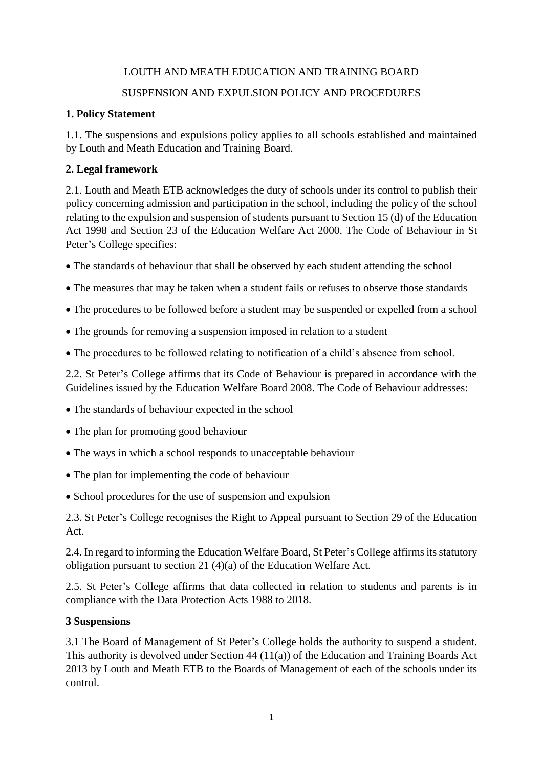# LOUTH AND MEATH EDUCATION AND TRAINING BOARD SUSPENSION AND EXPULSION POLICY AND PROCEDURES

# **1. Policy Statement**

1.1. The suspensions and expulsions policy applies to all schools established and maintained by Louth and Meath Education and Training Board.

# **2. Legal framework**

2.1. Louth and Meath ETB acknowledges the duty of schools under its control to publish their policy concerning admission and participation in the school, including the policy of the school relating to the expulsion and suspension of students pursuant to Section 15 (d) of the Education Act 1998 and Section 23 of the Education Welfare Act 2000. The Code of Behaviour in St Peter's College specifies:

- The standards of behaviour that shall be observed by each student attending the school
- The measures that may be taken when a student fails or refuses to observe those standards
- The procedures to be followed before a student may be suspended or expelled from a school
- The grounds for removing a suspension imposed in relation to a student
- The procedures to be followed relating to notification of a child's absence from school.

2.2. St Peter's College affirms that its Code of Behaviour is prepared in accordance with the Guidelines issued by the Education Welfare Board 2008. The Code of Behaviour addresses:

- The standards of behaviour expected in the school
- The plan for promoting good behaviour
- The ways in which a school responds to unacceptable behaviour
- The plan for implementing the code of behaviour
- School procedures for the use of suspension and expulsion

2.3. St Peter's College recognises the Right to Appeal pursuant to Section 29 of the Education Act.

2.4. In regard to informing the Education Welfare Board, St Peter's College affirms its statutory obligation pursuant to section 21 (4)(a) of the Education Welfare Act.

2.5. St Peter's College affirms that data collected in relation to students and parents is in compliance with the Data Protection Acts 1988 to 2018.

# **3 Suspensions**

3.1 The Board of Management of St Peter's College holds the authority to suspend a student. This authority is devolved under Section 44 (11(a)) of the Education and Training Boards Act 2013 by Louth and Meath ETB to the Boards of Management of each of the schools under its control.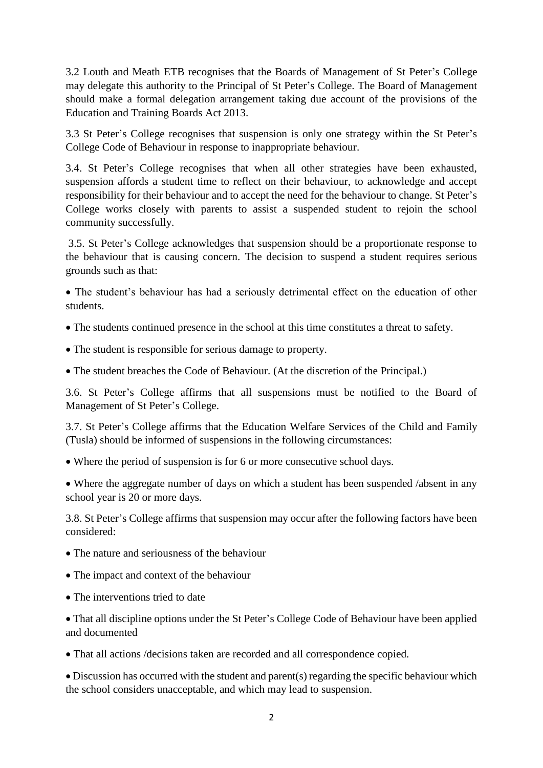3.2 Louth and Meath ETB recognises that the Boards of Management of St Peter's College may delegate this authority to the Principal of St Peter's College. The Board of Management should make a formal delegation arrangement taking due account of the provisions of the Education and Training Boards Act 2013.

3.3 St Peter's College recognises that suspension is only one strategy within the St Peter's College Code of Behaviour in response to inappropriate behaviour.

3.4. St Peter's College recognises that when all other strategies have been exhausted, suspension affords a student time to reflect on their behaviour, to acknowledge and accept responsibility for their behaviour and to accept the need for the behaviour to change. St Peter's College works closely with parents to assist a suspended student to rejoin the school community successfully.

3.5. St Peter's College acknowledges that suspension should be a proportionate response to the behaviour that is causing concern. The decision to suspend a student requires serious grounds such as that:

 The student's behaviour has had a seriously detrimental effect on the education of other students.

The students continued presence in the school at this time constitutes a threat to safety.

- The student is responsible for serious damage to property.
- The student breaches the Code of Behaviour. (At the discretion of the Principal.)

3.6. St Peter's College affirms that all suspensions must be notified to the Board of Management of St Peter's College.

3.7. St Peter's College affirms that the Education Welfare Services of the Child and Family (Tusla) should be informed of suspensions in the following circumstances:

Where the period of suspension is for 6 or more consecutive school days.

• Where the aggregate number of days on which a student has been suspended /absent in any school year is 20 or more days.

3.8. St Peter's College affirms that suspension may occur after the following factors have been considered:

- The nature and seriousness of the behaviour
- The impact and context of the behaviour
- The interventions tried to date

 That all discipline options under the St Peter's College Code of Behaviour have been applied and documented

That all actions /decisions taken are recorded and all correspondence copied.

 Discussion has occurred with the student and parent(s) regarding the specific behaviour which the school considers unacceptable, and which may lead to suspension.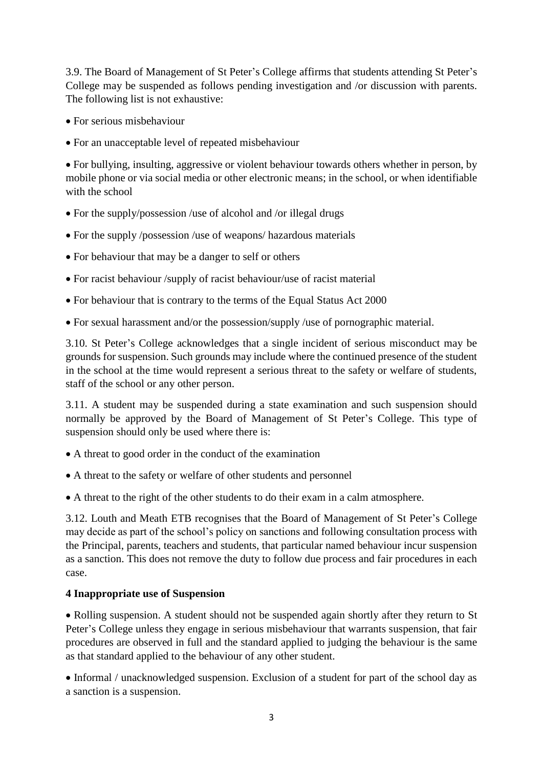3.9. The Board of Management of St Peter's College affirms that students attending St Peter's College may be suspended as follows pending investigation and /or discussion with parents. The following list is not exhaustive:

- For serious misbehaviour
- For an unacceptable level of repeated misbehaviour

 For bullying, insulting, aggressive or violent behaviour towards others whether in person, by mobile phone or via social media or other electronic means; in the school, or when identifiable with the school

- For the supply/possession /use of alcohol and /or illegal drugs
- For the supply /possession /use of weapons/ hazardous materials
- For behaviour that may be a danger to self or others
- For racist behaviour /supply of racist behaviour/use of racist material
- For behaviour that is contrary to the terms of the Equal Status Act 2000
- For sexual harassment and/or the possession/supply /use of pornographic material.

3.10. St Peter's College acknowledges that a single incident of serious misconduct may be grounds for suspension. Such grounds may include where the continued presence of the student in the school at the time would represent a serious threat to the safety or welfare of students, staff of the school or any other person.

3.11. A student may be suspended during a state examination and such suspension should normally be approved by the Board of Management of St Peter's College. This type of suspension should only be used where there is:

- A threat to good order in the conduct of the examination
- A threat to the safety or welfare of other students and personnel
- A threat to the right of the other students to do their exam in a calm atmosphere.

3.12. Louth and Meath ETB recognises that the Board of Management of St Peter's College may decide as part of the school's policy on sanctions and following consultation process with the Principal, parents, teachers and students, that particular named behaviour incur suspension as a sanction. This does not remove the duty to follow due process and fair procedures in each case.

### **4 Inappropriate use of Suspension**

• Rolling suspension. A student should not be suspended again shortly after they return to St Peter's College unless they engage in serious misbehaviour that warrants suspension, that fair procedures are observed in full and the standard applied to judging the behaviour is the same as that standard applied to the behaviour of any other student.

• Informal / unacknowledged suspension. Exclusion of a student for part of the school day as a sanction is a suspension.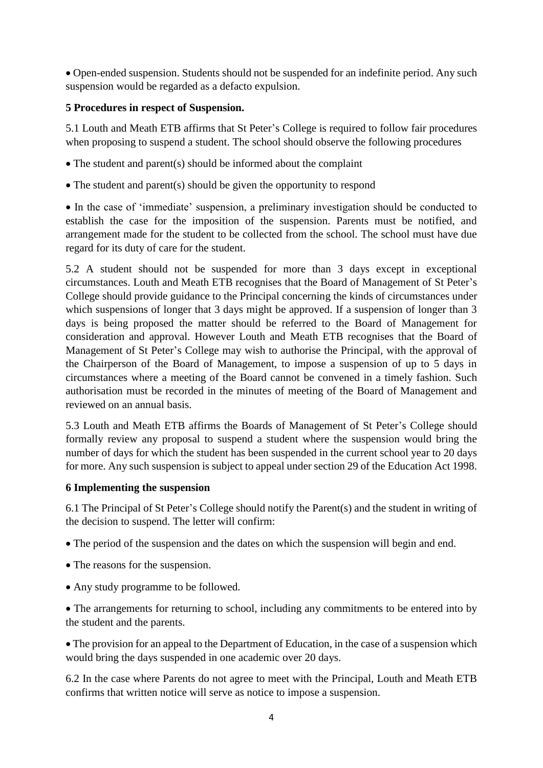Open-ended suspension. Students should not be suspended for an indefinite period. Any such suspension would be regarded as a defacto expulsion.

### **5 Procedures in respect of Suspension.**

5.1 Louth and Meath ETB affirms that St Peter's College is required to follow fair procedures when proposing to suspend a student. The school should observe the following procedures

- The student and parent(s) should be informed about the complaint
- $\bullet$  The student and parent(s) should be given the opportunity to respond

 In the case of 'immediate' suspension, a preliminary investigation should be conducted to establish the case for the imposition of the suspension. Parents must be notified, and arrangement made for the student to be collected from the school. The school must have due regard for its duty of care for the student.

5.2 A student should not be suspended for more than 3 days except in exceptional circumstances. Louth and Meath ETB recognises that the Board of Management of St Peter's College should provide guidance to the Principal concerning the kinds of circumstances under which suspensions of longer that 3 days might be approved. If a suspension of longer than 3 days is being proposed the matter should be referred to the Board of Management for consideration and approval. However Louth and Meath ETB recognises that the Board of Management of St Peter's College may wish to authorise the Principal, with the approval of the Chairperson of the Board of Management, to impose a suspension of up to 5 days in circumstances where a meeting of the Board cannot be convened in a timely fashion. Such authorisation must be recorded in the minutes of meeting of the Board of Management and reviewed on an annual basis.

5.3 Louth and Meath ETB affirms the Boards of Management of St Peter's College should formally review any proposal to suspend a student where the suspension would bring the number of days for which the student has been suspended in the current school year to 20 days for more. Any such suspension is subject to appeal under section 29 of the Education Act 1998.

#### **6 Implementing the suspension**

6.1 The Principal of St Peter's College should notify the Parent(s) and the student in writing of the decision to suspend. The letter will confirm:

The period of the suspension and the dates on which the suspension will begin and end.

- The reasons for the suspension.
- Any study programme to be followed.

 The arrangements for returning to school, including any commitments to be entered into by the student and the parents.

• The provision for an appeal to the Department of Education, in the case of a suspension which would bring the days suspended in one academic over 20 days.

6.2 In the case where Parents do not agree to meet with the Principal, Louth and Meath ETB confirms that written notice will serve as notice to impose a suspension.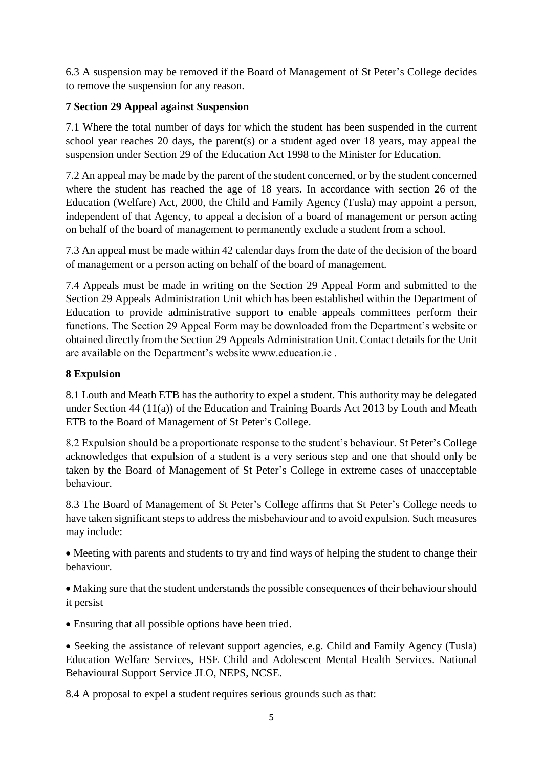6.3 A suspension may be removed if the Board of Management of St Peter's College decides to remove the suspension for any reason.

### **7 Section 29 Appeal against Suspension**

7.1 Where the total number of days for which the student has been suspended in the current school year reaches 20 days, the parent(s) or a student aged over 18 years, may appeal the suspension under Section 29 of the Education Act 1998 to the Minister for Education.

7.2 An appeal may be made by the parent of the student concerned, or by the student concerned where the student has reached the age of 18 years. In accordance with section 26 of the Education (Welfare) Act, 2000, the Child and Family Agency (Tusla) may appoint a person, independent of that Agency, to appeal a decision of a board of management or person acting on behalf of the board of management to permanently exclude a student from a school.

7.3 An appeal must be made within 42 calendar days from the date of the decision of the board of management or a person acting on behalf of the board of management.

7.4 Appeals must be made in writing on the Section 29 Appeal Form and submitted to the Section 29 Appeals Administration Unit which has been established within the Department of Education to provide administrative support to enable appeals committees perform their functions. The Section 29 Appeal Form may be downloaded from the Department's website or obtained directly from the Section 29 Appeals Administration Unit. Contact details for the Unit are available on the Department's website www.education.ie .

### **8 Expulsion**

8.1 Louth and Meath ETB has the authority to expel a student. This authority may be delegated under Section 44 (11(a)) of the Education and Training Boards Act 2013 by Louth and Meath ETB to the Board of Management of St Peter's College.

8.2 Expulsion should be a proportionate response to the student's behaviour. St Peter's College acknowledges that expulsion of a student is a very serious step and one that should only be taken by the Board of Management of St Peter's College in extreme cases of unacceptable behaviour.

8.3 The Board of Management of St Peter's College affirms that St Peter's College needs to have taken significant steps to address the misbehaviour and to avoid expulsion. Such measures may include:

• Meeting with parents and students to try and find ways of helping the student to change their behaviour.

 Making sure that the student understands the possible consequences of their behaviour should it persist

Ensuring that all possible options have been tried.

• Seeking the assistance of relevant support agencies, e.g. Child and Family Agency (Tusla) Education Welfare Services, HSE Child and Adolescent Mental Health Services. National Behavioural Support Service JLO, NEPS, NCSE.

8.4 A proposal to expel a student requires serious grounds such as that: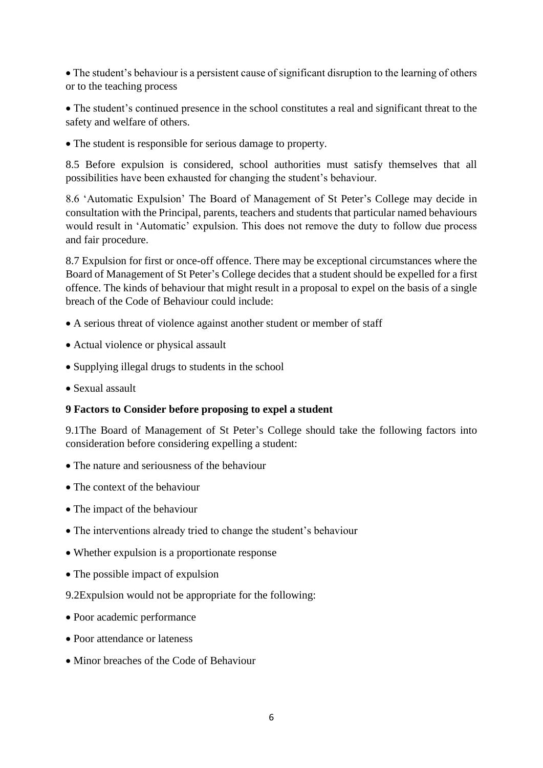The student's behaviour is a persistent cause of significant disruption to the learning of others or to the teaching process

 The student's continued presence in the school constitutes a real and significant threat to the safety and welfare of others.

The student is responsible for serious damage to property.

8.5 Before expulsion is considered, school authorities must satisfy themselves that all possibilities have been exhausted for changing the student's behaviour.

8.6 'Automatic Expulsion' The Board of Management of St Peter's College may decide in consultation with the Principal, parents, teachers and students that particular named behaviours would result in 'Automatic' expulsion. This does not remove the duty to follow due process and fair procedure.

8.7 Expulsion for first or once-off offence. There may be exceptional circumstances where the Board of Management of St Peter's College decides that a student should be expelled for a first offence. The kinds of behaviour that might result in a proposal to expel on the basis of a single breach of the Code of Behaviour could include:

- A serious threat of violence against another student or member of staff
- Actual violence or physical assault
- Supplying illegal drugs to students in the school
- Sexual assault

#### **9 Factors to Consider before proposing to expel a student**

9.1The Board of Management of St Peter's College should take the following factors into consideration before considering expelling a student:

- The nature and seriousness of the behaviour
- The context of the behaviour
- The impact of the behaviour
- The interventions already tried to change the student's behaviour
- Whether expulsion is a proportionate response
- The possible impact of expulsion
- 9.2Expulsion would not be appropriate for the following:
- Poor academic performance
- Poor attendance or lateness
- Minor breaches of the Code of Behaviour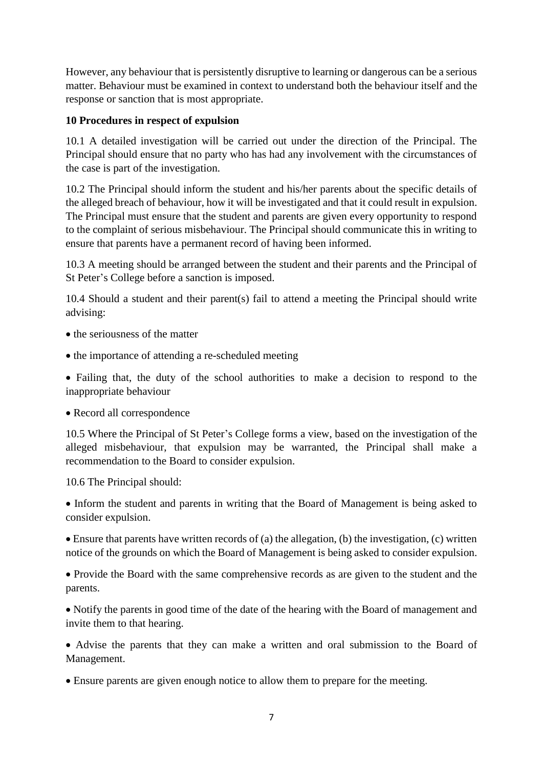However, any behaviour that is persistently disruptive to learning or dangerous can be a serious matter. Behaviour must be examined in context to understand both the behaviour itself and the response or sanction that is most appropriate.

### **10 Procedures in respect of expulsion**

10.1 A detailed investigation will be carried out under the direction of the Principal. The Principal should ensure that no party who has had any involvement with the circumstances of the case is part of the investigation.

10.2 The Principal should inform the student and his/her parents about the specific details of the alleged breach of behaviour, how it will be investigated and that it could result in expulsion. The Principal must ensure that the student and parents are given every opportunity to respond to the complaint of serious misbehaviour. The Principal should communicate this in writing to ensure that parents have a permanent record of having been informed.

10.3 A meeting should be arranged between the student and their parents and the Principal of St Peter's College before a sanction is imposed.

10.4 Should a student and their parent(s) fail to attend a meeting the Principal should write advising:

- the seriousness of the matter
- the importance of attending a re-scheduled meeting

 Failing that, the duty of the school authorities to make a decision to respond to the inappropriate behaviour

Record all correspondence

10.5 Where the Principal of St Peter's College forms a view, based on the investigation of the alleged misbehaviour, that expulsion may be warranted, the Principal shall make a recommendation to the Board to consider expulsion.

10.6 The Principal should:

 Inform the student and parents in writing that the Board of Management is being asked to consider expulsion.

 $\bullet$  Ensure that parents have written records of (a) the allegation, (b) the investigation, (c) written notice of the grounds on which the Board of Management is being asked to consider expulsion.

 Provide the Board with the same comprehensive records as are given to the student and the parents.

 Notify the parents in good time of the date of the hearing with the Board of management and invite them to that hearing.

 Advise the parents that they can make a written and oral submission to the Board of Management.

Ensure parents are given enough notice to allow them to prepare for the meeting.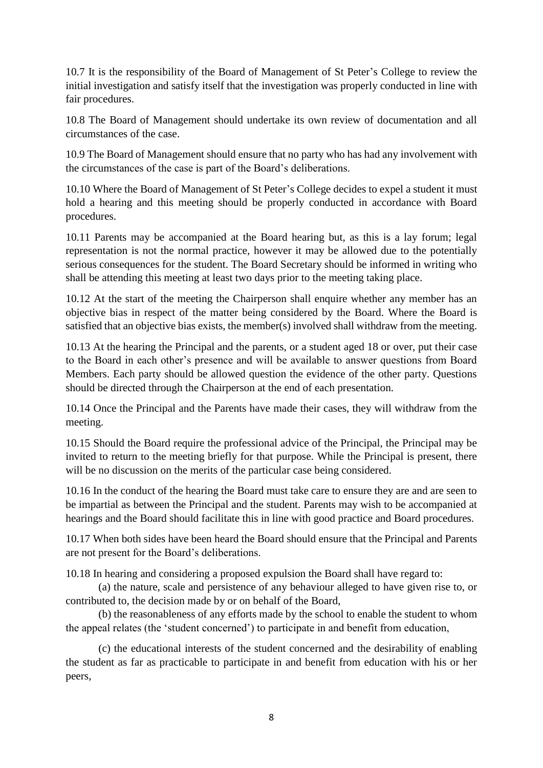10.7 It is the responsibility of the Board of Management of St Peter's College to review the initial investigation and satisfy itself that the investigation was properly conducted in line with fair procedures.

10.8 The Board of Management should undertake its own review of documentation and all circumstances of the case.

10.9 The Board of Management should ensure that no party who has had any involvement with the circumstances of the case is part of the Board's deliberations.

10.10 Where the Board of Management of St Peter's College decides to expel a student it must hold a hearing and this meeting should be properly conducted in accordance with Board procedures.

10.11 Parents may be accompanied at the Board hearing but, as this is a lay forum; legal representation is not the normal practice, however it may be allowed due to the potentially serious consequences for the student. The Board Secretary should be informed in writing who shall be attending this meeting at least two days prior to the meeting taking place.

10.12 At the start of the meeting the Chairperson shall enquire whether any member has an objective bias in respect of the matter being considered by the Board. Where the Board is satisfied that an objective bias exists, the member(s) involved shall withdraw from the meeting.

10.13 At the hearing the Principal and the parents, or a student aged 18 or over, put their case to the Board in each other's presence and will be available to answer questions from Board Members. Each party should be allowed question the evidence of the other party. Questions should be directed through the Chairperson at the end of each presentation.

10.14 Once the Principal and the Parents have made their cases, they will withdraw from the meeting.

10.15 Should the Board require the professional advice of the Principal, the Principal may be invited to return to the meeting briefly for that purpose. While the Principal is present, there will be no discussion on the merits of the particular case being considered.

10.16 In the conduct of the hearing the Board must take care to ensure they are and are seen to be impartial as between the Principal and the student. Parents may wish to be accompanied at hearings and the Board should facilitate this in line with good practice and Board procedures.

10.17 When both sides have been heard the Board should ensure that the Principal and Parents are not present for the Board's deliberations.

10.18 In hearing and considering a proposed expulsion the Board shall have regard to:

(a) the nature, scale and persistence of any behaviour alleged to have given rise to, or contributed to, the decision made by or on behalf of the Board,

(b) the reasonableness of any efforts made by the school to enable the student to whom the appeal relates (the 'student concerned') to participate in and benefit from education,

(c) the educational interests of the student concerned and the desirability of enabling the student as far as practicable to participate in and benefit from education with his or her peers,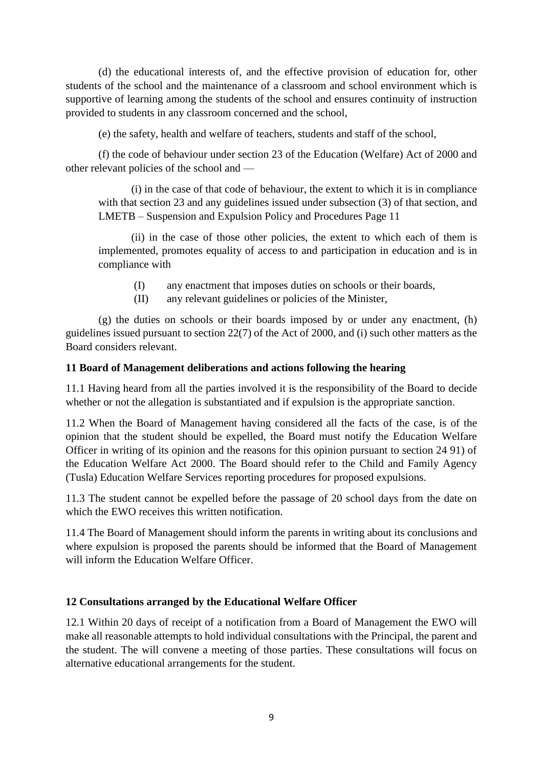(d) the educational interests of, and the effective provision of education for, other students of the school and the maintenance of a classroom and school environment which is supportive of learning among the students of the school and ensures continuity of instruction provided to students in any classroom concerned and the school,

(e) the safety, health and welfare of teachers, students and staff of the school,

(f) the code of behaviour under section 23 of the Education (Welfare) Act of 2000 and other relevant policies of the school and —

(i) in the case of that code of behaviour, the extent to which it is in compliance with that section 23 and any guidelines issued under subsection (3) of that section, and LMETB – Suspension and Expulsion Policy and Procedures Page 11

(ii) in the case of those other policies, the extent to which each of them is implemented, promotes equality of access to and participation in education and is in compliance with

- (I) any enactment that imposes duties on schools or their boards,
- (II) any relevant guidelines or policies of the Minister,

(g) the duties on schools or their boards imposed by or under any enactment, (h) guidelines issued pursuant to section 22(7) of the Act of 2000, and (i) such other matters as the Board considers relevant.

#### **11 Board of Management deliberations and actions following the hearing**

11.1 Having heard from all the parties involved it is the responsibility of the Board to decide whether or not the allegation is substantiated and if expulsion is the appropriate sanction.

11.2 When the Board of Management having considered all the facts of the case, is of the opinion that the student should be expelled, the Board must notify the Education Welfare Officer in writing of its opinion and the reasons for this opinion pursuant to section 24 91) of the Education Welfare Act 2000. The Board should refer to the Child and Family Agency (Tusla) Education Welfare Services reporting procedures for proposed expulsions.

11.3 The student cannot be expelled before the passage of 20 school days from the date on which the EWO receives this written notification.

11.4 The Board of Management should inform the parents in writing about its conclusions and where expulsion is proposed the parents should be informed that the Board of Management will inform the Education Welfare Officer.

### **12 Consultations arranged by the Educational Welfare Officer**

12.1 Within 20 days of receipt of a notification from a Board of Management the EWO will make all reasonable attempts to hold individual consultations with the Principal, the parent and the student. The will convene a meeting of those parties. These consultations will focus on alternative educational arrangements for the student.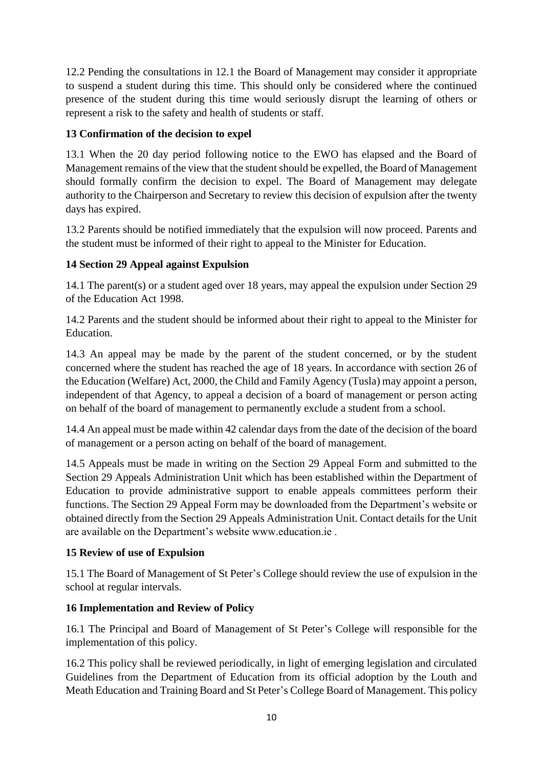12.2 Pending the consultations in 12.1 the Board of Management may consider it appropriate to suspend a student during this time. This should only be considered where the continued presence of the student during this time would seriously disrupt the learning of others or represent a risk to the safety and health of students or staff.

# **13 Confirmation of the decision to expel**

13.1 When the 20 day period following notice to the EWO has elapsed and the Board of Management remains of the view that the student should be expelled, the Board of Management should formally confirm the decision to expel. The Board of Management may delegate authority to the Chairperson and Secretary to review this decision of expulsion after the twenty days has expired.

13.2 Parents should be notified immediately that the expulsion will now proceed. Parents and the student must be informed of their right to appeal to the Minister for Education.

# **14 Section 29 Appeal against Expulsion**

14.1 The parent(s) or a student aged over 18 years, may appeal the expulsion under Section 29 of the Education Act 1998.

14.2 Parents and the student should be informed about their right to appeal to the Minister for Education.

14.3 An appeal may be made by the parent of the student concerned, or by the student concerned where the student has reached the age of 18 years. In accordance with section 26 of the Education (Welfare) Act, 2000, the Child and Family Agency (Tusla) may appoint a person, independent of that Agency, to appeal a decision of a board of management or person acting on behalf of the board of management to permanently exclude a student from a school.

14.4 An appeal must be made within 42 calendar days from the date of the decision of the board of management or a person acting on behalf of the board of management.

14.5 Appeals must be made in writing on the Section 29 Appeal Form and submitted to the Section 29 Appeals Administration Unit which has been established within the Department of Education to provide administrative support to enable appeals committees perform their functions. The Section 29 Appeal Form may be downloaded from the Department's website or obtained directly from the Section 29 Appeals Administration Unit. Contact details for the Unit are available on the Department's website www.education.ie .

# **15 Review of use of Expulsion**

15.1 The Board of Management of St Peter's College should review the use of expulsion in the school at regular intervals.

# **16 Implementation and Review of Policy**

16.1 The Principal and Board of Management of St Peter's College will responsible for the implementation of this policy.

16.2 This policy shall be reviewed periodically, in light of emerging legislation and circulated Guidelines from the Department of Education from its official adoption by the Louth and Meath Education and Training Board and St Peter's College Board of Management. This policy